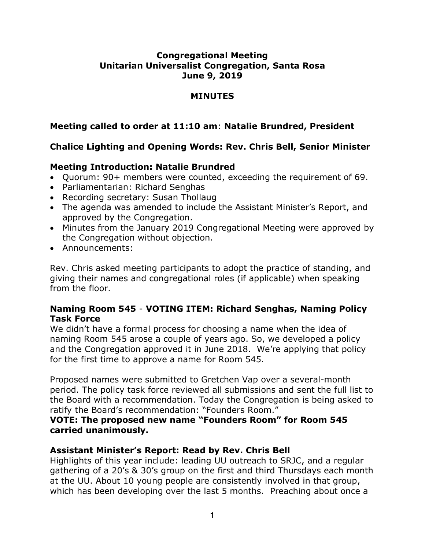## **Congregational Meeting Unitarian Universalist Congregation, Santa Rosa June 9, 2019**

#### **MINUTES**

## **Meeting called to order at 11:10 am**: **Natalie Brundred, President**

# **Chalice Lighting and Opening Words: Rev. Chris Bell, Senior Minister**

## **Meeting Introduction: Natalie Brundred**

- Quorum: 90+ members were counted, exceeding the requirement of 69.
- Parliamentarian: Richard Senghas
- Recording secretary: Susan Thollaug
- The agenda was amended to include the Assistant Minister's Report, and approved by the Congregation.
- Minutes from the January 2019 Congregational Meeting were approved by the Congregation without objection.
- Announcements:

Rev. Chris asked meeting participants to adopt the practice of standing, and giving their names and congregational roles (if applicable) when speaking from the floor.

### **Naming Room 545** - **VOTING ITEM: Richard Senghas, Naming Policy Task Force**

We didn't have a formal process for choosing a name when the idea of naming Room 545 arose a couple of years ago. So, we developed a policy and the Congregation approved it in June 2018. We're applying that policy for the first time to approve a name for Room 545.

Proposed names were submitted to Gretchen Vap over a several-month period. The policy task force reviewed all submissions and sent the full list to the Board with a recommendation. Today the Congregation is being asked to ratify the Board's recommendation: "Founders Room."

### **VOTE: The proposed new name "Founders Room" for Room 545 carried unanimously.**

## **Assistant Minister's Report: Read by Rev. Chris Bell**

Highlights of this year include: leading UU outreach to SRJC, and a regular gathering of a 20's & 30's group on the first and third Thursdays each month at the UU. About 10 young people are consistently involved in that group, which has been developing over the last 5 months. Preaching about once a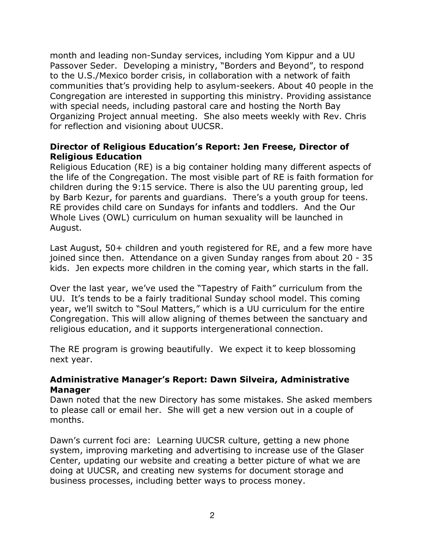month and leading non-Sunday services, including Yom Kippur and a UU Passover Seder. Developing a ministry, "Borders and Beyond", to respond to the U.S./Mexico border crisis, in collaboration with a network of faith communities that's providing help to asylum-seekers. About 40 people in the Congregation are interested in supporting this ministry. Providing assistance with special needs, including pastoral care and hosting the North Bay Organizing Project annual meeting. She also meets weekly with Rev. Chris for reflection and visioning about UUCSR.

## **Director of Religious Education's Report: Jen Freese, Director of Religious Education**

Religious Education (RE) is a big container holding many different aspects of the life of the Congregation. The most visible part of RE is faith formation for children during the 9:15 service. There is also the UU parenting group, led by Barb Kezur, for parents and guardians. There's a youth group for teens. RE provides child care on Sundays for infants and toddlers. And the Our Whole Lives (OWL) curriculum on human sexuality will be launched in August.

Last August, 50+ children and youth registered for RE, and a few more have joined since then. Attendance on a given Sunday ranges from about 20 - 35 kids. Jen expects more children in the coming year, which starts in the fall.

Over the last year, we've used the "Tapestry of Faith" curriculum from the UU. It's tends to be a fairly traditional Sunday school model. This coming year, we'll switch to "Soul Matters," which is a UU curriculum for the entire Congregation. This will allow aligning of themes between the sanctuary and religious education, and it supports intergenerational connection.

The RE program is growing beautifully. We expect it to keep blossoming next year.

### **Administrative Manager's Report: Dawn Silveira, Administrative Manager**

Dawn noted that the new Directory has some mistakes. She asked members to please call or email her. She will get a new version out in a couple of months.

Dawn's current foci are: Learning UUCSR culture, getting a new phone system, improving marketing and advertising to increase use of the Glaser Center, updating our website and creating a better picture of what we are doing at UUCSR, and creating new systems for document storage and business processes, including better ways to process money.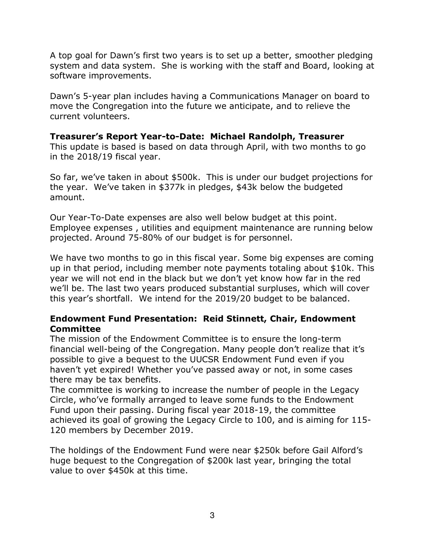A top goal for Dawn's first two years is to set up a better, smoother pledging system and data system. She is working with the staff and Board, looking at software improvements.

Dawn's 5-year plan includes having a Communications Manager on board to move the Congregation into the future we anticipate, and to relieve the current volunteers.

**Treasurer's Report Year-to-Date: Michael Randolph, Treasurer** This update is based is based on data through April, with two months to go in the 2018/19 fiscal year.

So far, we've taken in about \$500k. This is under our budget projections for the year. We've taken in \$377k in pledges, \$43k below the budgeted amount.

Our Year-To-Date expenses are also well below budget at this point. Employee expenses , utilities and equipment maintenance are running below projected. Around 75-80% of our budget is for personnel.

We have two months to go in this fiscal year. Some big expenses are coming up in that period, including member note payments totaling about \$10k. This year we will not end in the black but we don't yet know how far in the red we'll be. The last two years produced substantial surpluses, which will cover this year's shortfall. We intend for the 2019/20 budget to be balanced.

#### **Endowment Fund Presentation: Reid Stinnett, Chair, Endowment Committee**

The mission of the Endowment Committee is to ensure the long-term financial well-being of the Congregation. Many people don't realize that it's possible to give a bequest to the UUCSR Endowment Fund even if you haven't yet expired! Whether you've passed away or not, in some cases there may be tax benefits.

The committee is working to increase the number of people in the Legacy Circle, who've formally arranged to leave some funds to the Endowment Fund upon their passing. During fiscal year 2018-19, the committee achieved its goal of growing the Legacy Circle to 100, and is aiming for 115- 120 members by December 2019.

The holdings of the Endowment Fund were near \$250k before Gail Alford's huge bequest to the Congregation of \$200k last year, bringing the total value to over \$450k at this time.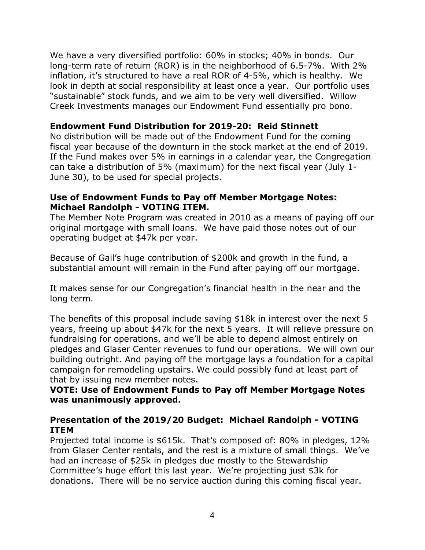We have a very diversified portfolio: 60% in stocks; 40% in bonds. Our long-term rate of return (ROR) is in the neighborhood of 6.5-7%. With 2% inflation, it's structured to have a real ROR of 4-5%, which is healthy. We look in depth at social responsibility at least once a year. Our portfolio uses "sustainable" stock funds, and we aim to be very well diversified. Willow Creek Investments manages our Endowment Fund essentially pro bono.

## **Endowment Fund Distribution for 2019-20: Reid Stinnett**

No distribution will be made out of the Endowment Fund for the coming fiscal year because of the downturn in the stock market at the end of 2019. If the Fund makes over 5% in earnings in a calendar year, the Congregation can take a distribution of 5% (maximum) for the next fiscal year (July 1- June 30), to be used for special projects.

### **Use of Endowment Funds to Pay off Member Mortgage Notes: Michael Randolph - VOTING ITEM.**

The Member Note Program was created in 2010 as a means of paying off our original mortgage with small loans. We have paid those notes out of our operating budget at \$47k per year.

Because of Gail's huge contribution of \$200k and growth in the fund, a substantial amount will remain in the Fund after paying off our mortgage.

It makes sense for our Congregation's financial health in the near and the long term.

The benefits of this proposal include saving \$18k in interest over the next 5 years, freeing up about \$47k for the next 5 years. It will relieve pressure on fundraising for operations, and we'll be able to depend almost entirely on pledges and Glaser Center revenues to fund our operations. We will own our building outright. And paying off the mortgage lays a foundation for a capital campaign for remodeling upstairs. We could possibly fund at least part of that by issuing new member notes.

### **VOTE: Use of Endowment Funds to Pay off Member Mortgage Notes was unanimously approved.**

### **Presentation of the 2019/20 Budget: Michael Randolph - VOTING ITEM**

Projected total income is \$615k. That's composed of: 80% in pledges, 12% from Glaser Center rentals, and the rest is a mixture of small things. We've had an increase of \$25k in pledges due mostly to the Stewardship Committee's huge effort this last year. We're projecting just \$3k for donations. There will be no service auction during this coming fiscal year.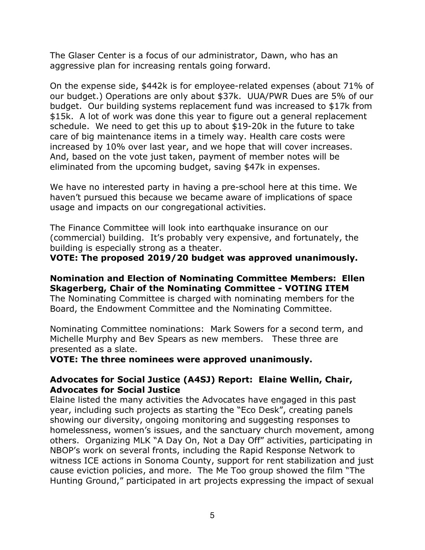The Glaser Center is a focus of our administrator, Dawn, who has an aggressive plan for increasing rentals going forward.

On the expense side, \$442k is for employee-related expenses (about 71% of our budget.) Operations are only about \$37k. UUA/PWR Dues are 5% of our budget. Our building systems replacement fund was increased to \$17k from \$15k. A lot of work was done this year to figure out a general replacement schedule. We need to get this up to about \$19-20k in the future to take care of big maintenance items in a timely way. Health care costs were increased by 10% over last year, and we hope that will cover increases. And, based on the vote just taken, payment of member notes will be eliminated from the upcoming budget, saving \$47k in expenses.

We have no interested party in having a pre-school here at this time. We haven't pursued this because we became aware of implications of space usage and impacts on our congregational activities.

The Finance Committee will look into earthquake insurance on our (commercial) building. It's probably very expensive, and fortunately, the building is especially strong as a theater.

**VOTE: The proposed 2019/20 budget was approved unanimously.** 

# **Nomination and Election of Nominating Committee Members: Ellen Skagerberg, Chair of the Nominating Committee - VOTING ITEM**

The Nominating Committee is charged with nominating members for the Board, the Endowment Committee and the Nominating Committee.

Nominating Committee nominations: Mark Sowers for a second term, and Michelle Murphy and Bev Spears as new members. These three are presented as a slate.

**VOTE: The three nominees were approved unanimously.**

### **Advocates for Social Justice (A4SJ) Report: Elaine Wellin, Chair, Advocates for Social Justice**

Elaine listed the many activities the Advocates have engaged in this past year, including such projects as starting the "Eco Desk", creating panels showing our diversity, ongoing monitoring and suggesting responses to homelessness, women's issues, and the sanctuary church movement, among others. Organizing MLK "A Day On, Not a Day Off" activities, participating in NBOP's work on several fronts, including the Rapid Response Network to witness ICE actions in Sonoma County, support for rent stabilization and just cause eviction policies, and more. The Me Too group showed the film "The Hunting Ground," participated in art projects expressing the impact of sexual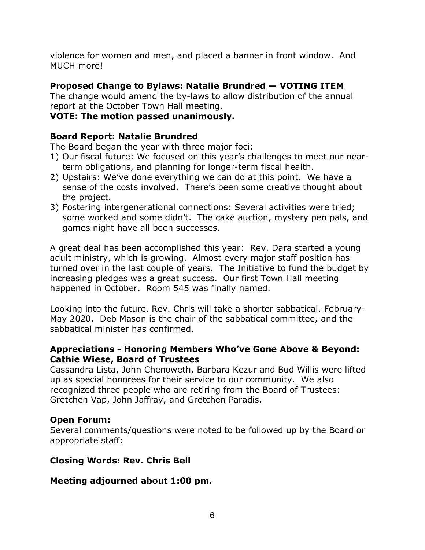violence for women and men, and placed a banner in front window. And MUCH more!

# **Proposed Change to Bylaws: Natalie Brundred — VOTING ITEM**

The change would amend the by-laws to allow distribution of the annual report at the October Town Hall meeting.

## **VOTE: The motion passed unanimously.**

## **Board Report: Natalie Brundred**

The Board began the year with three major foci:

- 1) Our fiscal future: We focused on this year's challenges to meet our nearterm obligations, and planning for longer-term fiscal health.
- 2) Upstairs: We've done everything we can do at this point. We have a sense of the costs involved. There's been some creative thought about the project.
- 3) Fostering intergenerational connections: Several activities were tried; some worked and some didn't. The cake auction, mystery pen pals, and games night have all been successes.

A great deal has been accomplished this year: Rev. Dara started a young adult ministry, which is growing. Almost every major staff position has turned over in the last couple of years. The Initiative to fund the budget by increasing pledges was a great success. Our first Town Hall meeting happened in October. Room 545 was finally named.

Looking into the future, Rev. Chris will take a shorter sabbatical, February-May 2020. Deb Mason is the chair of the sabbatical committee, and the sabbatical minister has confirmed.

### **Appreciations - Honoring Members Who've Gone Above & Beyond: Cathie Wiese, Board of Trustees**

Cassandra Lista, John Chenoweth, Barbara Kezur and Bud Willis were lifted up as special honorees for their service to our community. We also recognized three people who are retiring from the Board of Trustees: Gretchen Vap, John Jaffray, and Gretchen Paradis.

## **Open Forum:**

Several comments/questions were noted to be followed up by the Board or appropriate staff:

## **Closing Words: Rev. Chris Bell**

## **Meeting adjourned about 1:00 pm.**